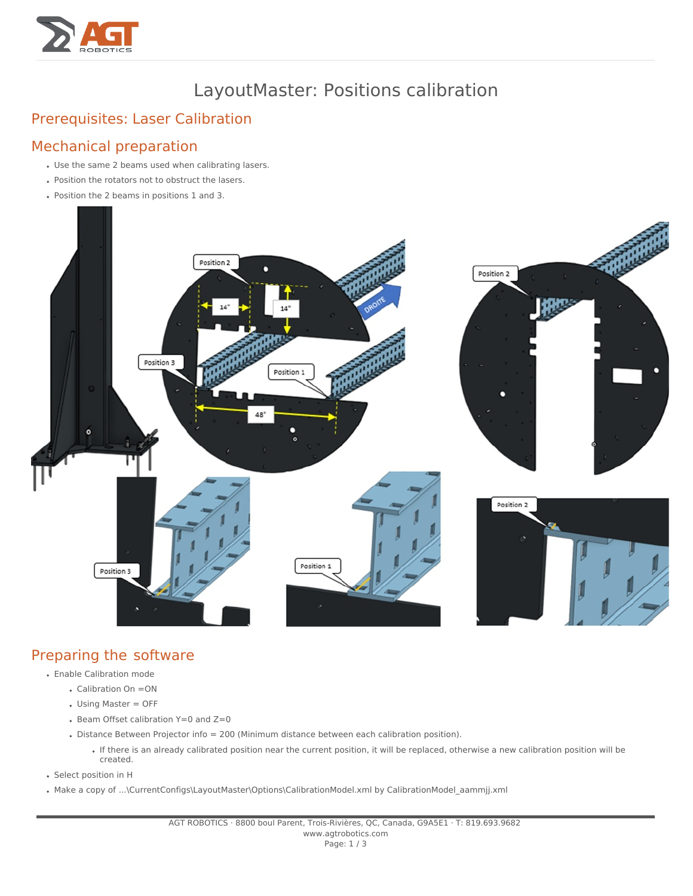

# LayoutMaster: Positions calibration

## Prerequisites: Laser [Calibration](https://prod.agt-group.com/knowsystem/layoutmaster-calibration-des-lasers-963)

#### Mechanical preparation

- Use the same 2 beams used when calibrating lasers.
- Position the rotators not to obstruct the lasers.
- Position the 2 beams in positions 1 and 3.



### Preparing the software

- Enable Calibration mode
	- Calibration On =ON
	- Using Master = OFF
	- $\bullet$  Beam Offset calibration Y=0 and Z=0
	- Distance Between Projector info = 200 (Minimum distance between each calibration position).
		- If there is an already calibrated position near the current position, it will be replaced, otherwise a new calibration position will be created.
- Select position in H
- Make a copy of ...\CurrentConfigs\LayoutMaster\Options\CalibrationModel.xml by CalibrationModel\_aammjj.xml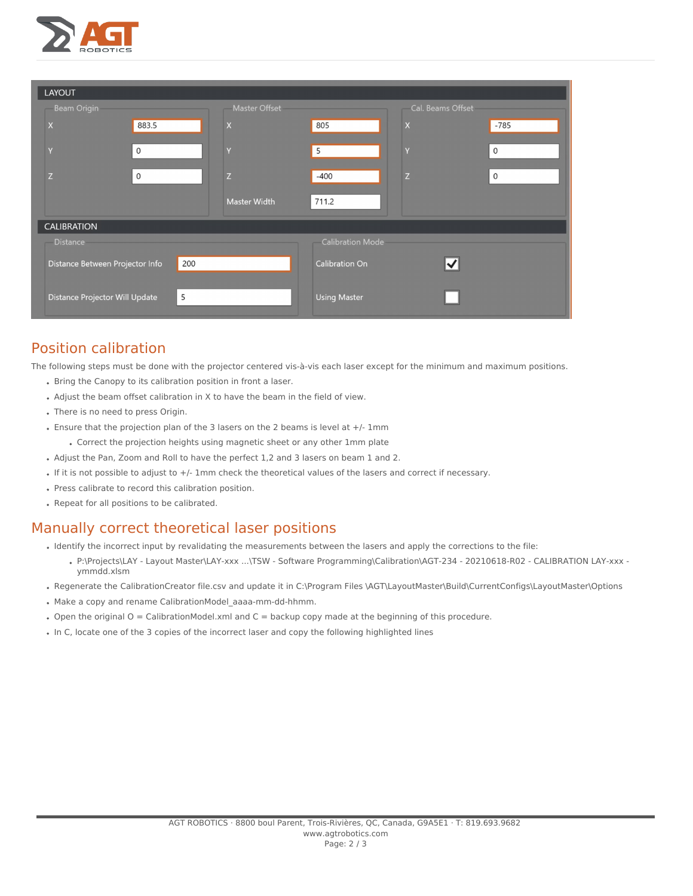

| LAYOUT                          |              |                      |                         |                             |              |  |  |
|---------------------------------|--------------|----------------------|-------------------------|-----------------------------|--------------|--|--|
| <b>Beam Origin</b>              |              | <b>Master Offset</b> |                         | Cal. Beams Offset           |              |  |  |
| $\overline{\mathsf{X}}$         | 883.5        | $\mathsf{x}$         | 805                     | $\pmb{\mathsf{X}}$          | $-785$       |  |  |
|                                 | $\mathsf{O}$ | $\overline{V}$       | 5                       | $\overline{\mathbf{v}}$     | $\mathsf{O}$ |  |  |
|                                 | $\mathsf{O}$ | Z                    | $-400$                  | Z                           | $\mathsf{O}$ |  |  |
|                                 |              | <b>Master Width</b>  | 711.2                   |                             |              |  |  |
| <b>CALIBRATION</b>              |              |                      |                         |                             |              |  |  |
| <b>Distance</b>                 |              |                      | <b>Calibration Mode</b> |                             |              |  |  |
| Distance Between Projector Info | 200          |                      | <b>Calibration On</b>   | $\overline{\blacktriangle}$ |              |  |  |
| Distance Projector Will Update  | 5            |                      | <b>Using Master</b>     |                             |              |  |  |

### Position calibration

The following steps must be done with the projector centered vis-à-vis each laser except for the minimum and maximum positions.

- Bring the Canopy to its calibration position in front a laser.
- Adjust the beam offset calibration in X to have the beam in the field of view.
- There is no need to press Origin.
- $\bullet$  Ensure that the projection plan of the 3 lasers on the 2 beams is level at  $+/-1$ mm
	- Correct the projection heights using magnetic sheet or any other 1mm plate
- Adjust the Pan, Zoom and Roll to have the perfect 1,2 and 3 lasers on beam 1 and 2.
- If it is not possible to adjust to +/- 1mm check the theoretical values of the lasers and correct if necessary.
- Press calibrate to record this calibration position.
- Repeat for all positions to be calibrated.

#### Manually correct theoretical laser positions

- Identify the incorrect input by revalidating the measurements between the lasers and apply the corrections to the file:
	- . P:\Projects\LAY Layout Master\LAY-xxx ...\TSW Software Programming\Calibration\AGT-234 20210618-R02 CALIBRATION LAY-xxx ymmdd.xlsm
- Regenerate the CalibrationCreator file.csv and update it in C:\Program Files \AGT\LayoutMaster\Build\CurrentConfigs\LayoutMaster\Options
- Make a copy and rename CalibrationModel\_aaaa-mm-dd-hhmm.
- Open the original O = CalibrationModel.xml and C = backup copy made at the beginning of this procedure.
- In C, locate one of the 3 copies of the incorrect laser and copy the following highlighted lines